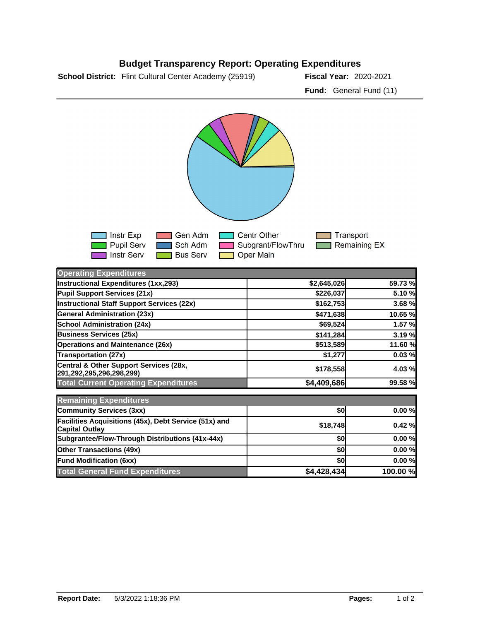

**291,292,295,296,298,299) \$178,558 4.03 % Total Current Operating Expenditures \$4,409,686 99.58 %**

**Community Services (3xx) b b b community Services (3xx) b b community Services (3xx) Facilities Acquisitions (45x), Debt Service (51x) and Capital Outlay \$18,748 0.42 % Subgrantee/Flow-Through Distributions (41x-44x) \$0 0.00 % Other Transactions (49x) \$0 0.00 % Fund Modification (6xx) \$0 0.00 % Total General Fund Expenditures \$4,428,434 100.00 %**

## **Budget Transparency Report: Operating Expenditures**

**School District:** Flint Cultural Center Academy (25919) **Fiscal Year:** 2020-2021

**Central & Other Support Services (28x,** 

**Remaining Expenditures**